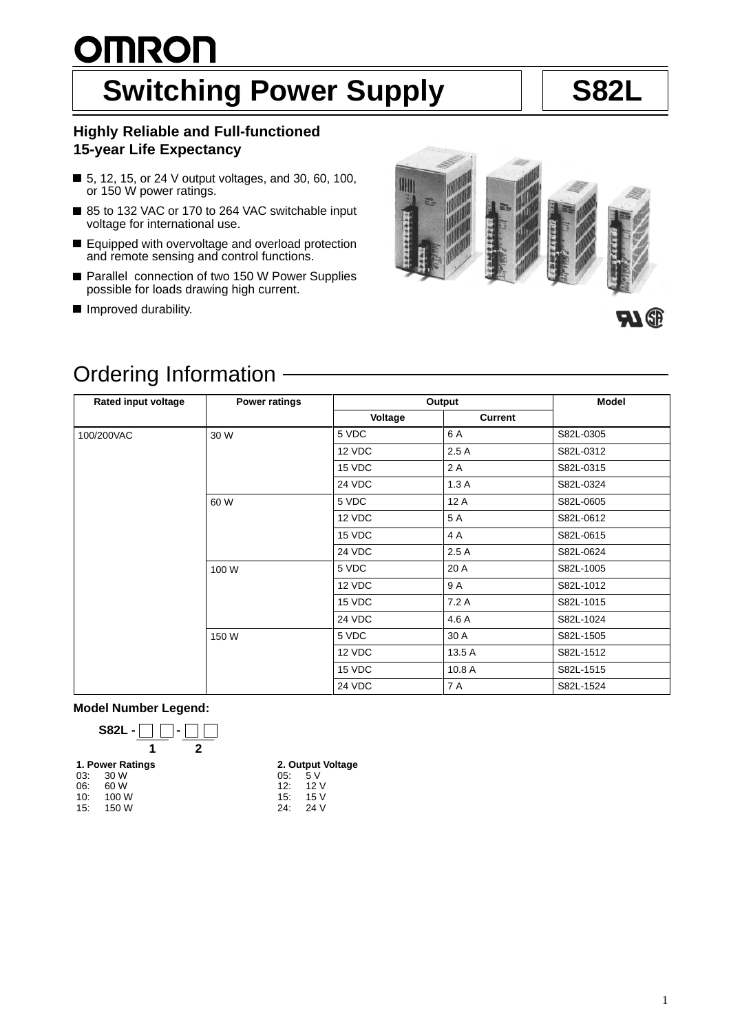# <u>OMRON</u> **Switching Power Supply | S82L**

### **Highly Reliable and Full-functioned 15-year Life Expectancy**

- 5, 12, 15, or 24 V output voltages, and 30, 60, 100, or 150 W power ratings.
- 85 to 132 VAC or 170 to 264 VAC switchable input voltage for international use.
- Equipped with overvoltage and overload protection and remote sensing and control functions.
- Parallel connection of two 150 W Power Supplies possible for loads drawing high current.
- **Improved durability.**



## Ordering Information

| <b>Rated input voltage</b> | <b>Power ratings</b> | Output  | <b>Model</b>   |           |
|----------------------------|----------------------|---------|----------------|-----------|
|                            |                      | Voltage | <b>Current</b> |           |
| 100/200VAC                 | 30 W                 | 5 VDC   | 6 A            | S82L-0305 |
|                            |                      | 12 VDC  | 2.5A           | S82L-0312 |
|                            |                      | 15 VDC  | 2 A            | S82L-0315 |
|                            |                      | 24 VDC  | 1.3A           | S82L-0324 |
|                            | 60 W                 | 5 VDC   | 12 A           | S82L-0605 |
|                            |                      | 12 VDC  | 5 A            | S82L-0612 |
|                            |                      | 15 VDC  | 4 A            | S82L-0615 |
|                            |                      | 24 VDC  | 2.5A           | S82L-0624 |
|                            | 100 W                | 5 VDC   | 20 A           | S82L-1005 |
|                            |                      | 12 VDC  | 9 A            | S82L-1012 |
|                            |                      | 15 VDC  | 7.2 A          | S82L-1015 |
|                            |                      | 24 VDC  | 4.6 A          | S82L-1024 |
|                            | 150 W                | 5 VDC   | 30 A           | S82L-1505 |
|                            |                      | 12 VDC  | 13.5 A         | S82L-1512 |
|                            |                      | 15 VDC  | 10.8 A         | S82L-1515 |
|                            |                      | 24 VDC  | 7 A            | S82L-1524 |

**Model Number Legend:**

03: 30 W<br>06: 60 W 06: 60 W<br>10: 100 V 100 W 15: 150 W

**S82L -** □ □ - [  $\Box$ **1 21. Power Ratings**

**2. Output Voltage**

| 05: | 5 V  |
|-----|------|
| 12: | 12V  |
| 15: | 15 V |
| 24: | 24 V |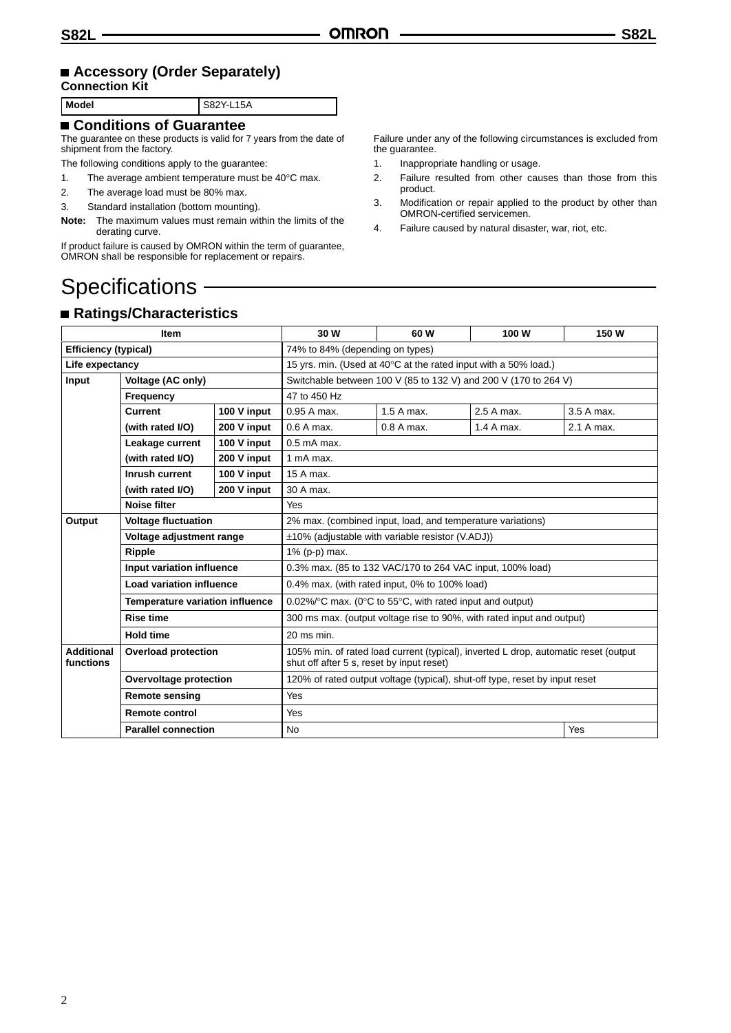### **Accessory (Order Separately)**

### **Connection Kit**

**Model** S82Y-L15A

#### **Conditions of Guarantee**

The guarantee on these products is valid for 7 years from the date of shipment from the factory.

The following conditions apply to the guarantee:

1. The average ambient temperature must be 40°C max.

- 2. The average load must be 80% max.
- 3. Standard installation (bottom mounting).

**Note:** The maximum values must remain within the limits of the derating curve.

If product failure is caused by OMRON within the term of guarantee, OMRON shall be responsible for replacement or repairs.

Failure under any of the following circumstances is excluded from the guarantee.

- 1. Inappropriate handling or usage.
- 2. Failure resulted from other causes than those from this product.
- 3. Modification or repair applied to the product by other than OMRON-certified servicemen.
- 4. Failure caused by natural disaster, war, riot, etc.

### Specifications -

### **Ratings/Characteristics**

| <b>Item</b>                    |                                        | 30 W                                                                        | 60 W                                                                                                                             | 100 W       | 150 W      |            |
|--------------------------------|----------------------------------------|-----------------------------------------------------------------------------|----------------------------------------------------------------------------------------------------------------------------------|-------------|------------|------------|
| <b>Efficiency (typical)</b>    |                                        | 74% to 84% (depending on types)                                             |                                                                                                                                  |             |            |            |
| Life expectancy                |                                        | 15 yrs. min. (Used at 40°C at the rated input with a 50% load.)             |                                                                                                                                  |             |            |            |
| Input<br>Voltage (AC only)     |                                        | Switchable between 100 V (85 to 132 V) and 200 V (170 to 264 V)             |                                                                                                                                  |             |            |            |
|                                | Frequency                              |                                                                             | 47 to 450 Hz                                                                                                                     |             |            |            |
|                                | <b>Current</b>                         | 100 V input                                                                 | 0.95 A max.                                                                                                                      | 1.5 A max.  | 2.5 A max. | 3.5 A max. |
|                                | (with rated I/O)                       | 200 V input                                                                 | $0.6A$ max.                                                                                                                      | $0.8A$ max. | 1.4 A max. | 2.1 A max. |
|                                | 100 V input<br>Leakage current         |                                                                             | $0.5$ mA max.                                                                                                                    |             |            |            |
|                                | (with rated I/O)<br>200 V input        |                                                                             | 1 mA max.                                                                                                                        |             |            |            |
|                                | Inrush current                         | 100 V input                                                                 | 15 A max.                                                                                                                        |             |            |            |
|                                | (with rated I/O)                       | 200 V input                                                                 | 30 A max.                                                                                                                        |             |            |            |
| <b>Noise filter</b>            |                                        | Yes                                                                         |                                                                                                                                  |             |            |            |
| Output                         | <b>Voltage fluctuation</b>             |                                                                             | 2% max. (combined input, load, and temperature variations)                                                                       |             |            |            |
| Voltage adjustment range       |                                        | $\pm$ 10% (adjustable with variable resistor (V.ADJ))                       |                                                                                                                                  |             |            |            |
|                                | Ripple                                 |                                                                             | 1% (p-p) max.                                                                                                                    |             |            |            |
|                                | Input variation influence              |                                                                             | 0.3% max. (85 to 132 VAC/170 to 264 VAC input, 100% load)                                                                        |             |            |            |
|                                | <b>Load variation influence</b>        |                                                                             | 0.4% max. (with rated input, 0% to 100% load)                                                                                    |             |            |            |
|                                | <b>Temperature variation influence</b> |                                                                             | 0.02%/ $\degree$ C max. (0 $\degree$ C to 55 $\degree$ C, with rated input and output)                                           |             |            |            |
| <b>Rise time</b>               |                                        | 300 ms max. (output voltage rise to 90%, with rated input and output)       |                                                                                                                                  |             |            |            |
|                                | <b>Hold time</b>                       |                                                                             | $20$ ms min.                                                                                                                     |             |            |            |
| <b>Additional</b><br>functions | <b>Overload protection</b>             |                                                                             | 105% min. of rated load current (typical), inverted L drop, automatic reset (output<br>shut off after 5 s, reset by input reset) |             |            |            |
| Overvoltage protection         |                                        | 120% of rated output voltage (typical), shut-off type, reset by input reset |                                                                                                                                  |             |            |            |
| <b>Remote sensing</b>          |                                        | <b>Yes</b>                                                                  |                                                                                                                                  |             |            |            |
| <b>Remote control</b>          |                                        | <b>Yes</b>                                                                  |                                                                                                                                  |             |            |            |
| <b>Parallel connection</b>     |                                        | <b>No</b>                                                                   |                                                                                                                                  |             | Yes        |            |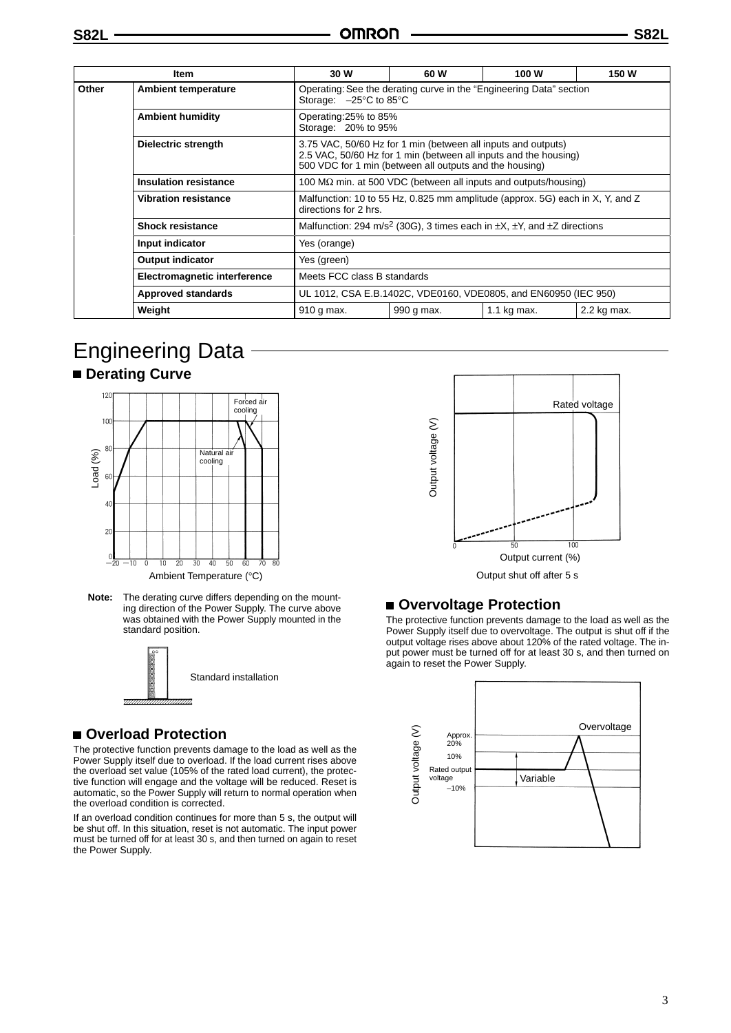| ltem                                |                              | 30 W                                                                                                               | 60 W                                                                                                                                                                                         | 100 W       | 150 W       |  |
|-------------------------------------|------------------------------|--------------------------------------------------------------------------------------------------------------------|----------------------------------------------------------------------------------------------------------------------------------------------------------------------------------------------|-------------|-------------|--|
| Other                               | <b>Ambient temperature</b>   | Operating: See the derating curve in the "Engineering Data" section<br>Storage: $-25^{\circ}$ C to 85 $^{\circ}$ C |                                                                                                                                                                                              |             |             |  |
|                                     | <b>Ambient humidity</b>      | Operating:25% to 85%<br>Storage: 20% to 95%                                                                        |                                                                                                                                                                                              |             |             |  |
|                                     | <b>Dielectric strength</b>   |                                                                                                                    | 3.75 VAC, 50/60 Hz for 1 min (between all inputs and outputs)<br>2.5 VAC, 50/60 Hz for 1 min (between all inputs and the housing)<br>500 VDC for 1 min (between all outputs and the housing) |             |             |  |
|                                     | <b>Insulation resistance</b> | 100 M $\Omega$ min. at 500 VDC (between all inputs and outputs/housing)                                            |                                                                                                                                                                                              |             |             |  |
|                                     | <b>Vibration resistance</b>  | Malfunction: 10 to 55 Hz, 0.825 mm amplitude (approx. 5G) each in X, Y, and Z<br>directions for 2 hrs.             |                                                                                                                                                                                              |             |             |  |
|                                     | <b>Shock resistance</b>      | Malfunction: 294 m/s <sup>2</sup> (30G), 3 times each in $\pm X$ , $\pm Y$ , and $\pm Z$ directions                |                                                                                                                                                                                              |             |             |  |
| Input indicator                     |                              | Yes (orange)                                                                                                       |                                                                                                                                                                                              |             |             |  |
| <b>Output indicator</b>             |                              | Yes (green)                                                                                                        |                                                                                                                                                                                              |             |             |  |
| <b>Electromagnetic interference</b> |                              | Meets FCC class B standards                                                                                        |                                                                                                                                                                                              |             |             |  |
| <b>Approved standards</b>           |                              | UL 1012, CSA E.B.1402C, VDE0160, VDE0805, and EN60950 (IEC 950)                                                    |                                                                                                                                                                                              |             |             |  |
|                                     | Weight                       | 910 g max.                                                                                                         | 990 g max.                                                                                                                                                                                   | 1.1 kg max. | 2.2 kg max. |  |

## Engineering Data

#### $\blacksquare$  **Derating Curve**



**Note:** The derating curve differs depending on the mounting direction of the Power Supply. The curve above was obtained with the Power Supply mounted in the standard position.



Standard installation

#### **Overload Protection**

The protective function prevents damage to the load as well as the Power Supply itself due to overload. If the load current rises above the overload set value (105% of the rated load current), the protective function will engage and the voltage will be reduced. Reset is automatic, so the Power Supply will return to normal operation when the overload condition is corrected.

If an overload condition continues for more than 5 s, the output will be shut off. In this situation, reset is not automatic. The input power must be turned off for at least 30 s, and then turned on again to reset the Power Supply.



#### ■ Overvoltage Protection

The protective function prevents damage to the load as well as the Power Supply itself due to overvoltage. The output is shut off if the output voltage rises above about 120% of the rated voltage. The input power must be turned off for at least 30 s, and then turned on again to reset the Power Supply.

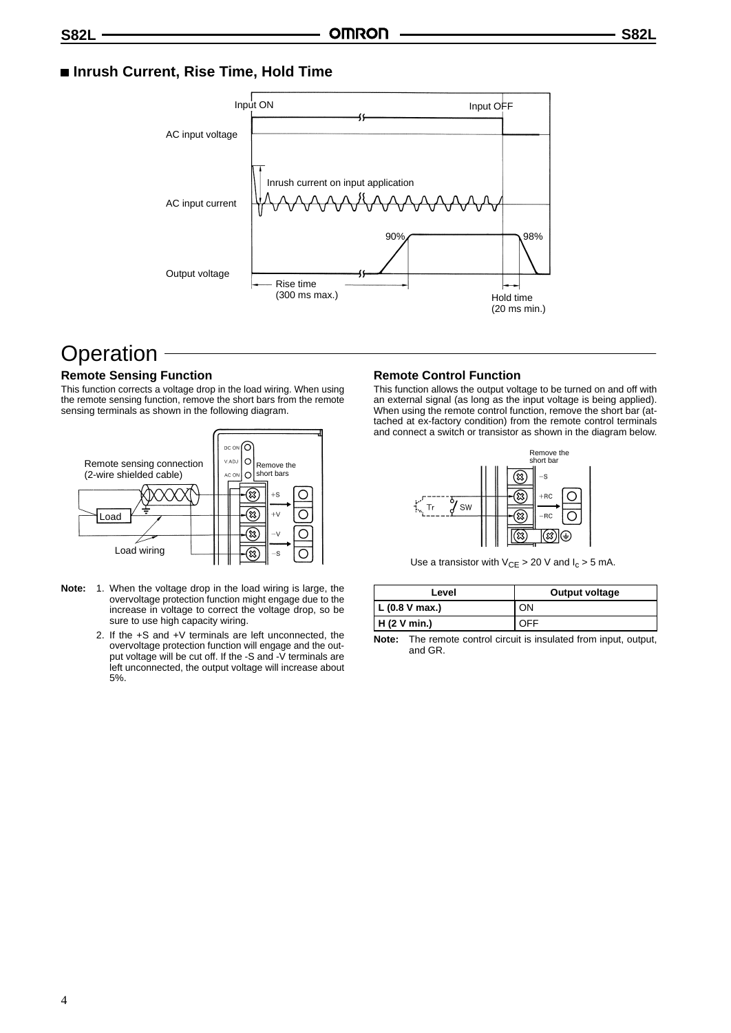#### ■ Inrush Current, Rise Time, Hold Time



### **Operation**

#### **Remote Sensing Function**

This function corrects a voltage drop in the load wiring. When using the remote sensing function, remove the short bars from the remote sensing terminals as shown in the following diagram.



- **Note:** 1. When the voltage drop in the load wiring is large, the overvoltage protection function might engage due to the increase in voltage to correct the voltage drop, so be sure to use high capacity wiring.
	- 2. If the +S and +V terminals are left unconnected, the overvoltage protection function will engage and the output voltage will be cut off. If the -S and -V terminals are left unconnected, the output voltage will increase about 5%.

#### **Remote Control Function**

This function allows the output voltage to be turned on and off with an external signal (as long as the input voltage is being applied). When using the remote control function, remove the short bar (attached at ex-factory condition) from the remote control terminals and connect a switch or transistor as shown in the diagram below.



Use a transistor with  $V_{CE} > 20$  V and  $I_c > 5$  mA.

| Level         | Output voltage |
|---------------|----------------|
| L(0.8 V max.) | ON             |
| H(2 V min.)   | OFF            |

**Note:** The remote control circuit is insulated from input, output, and GR.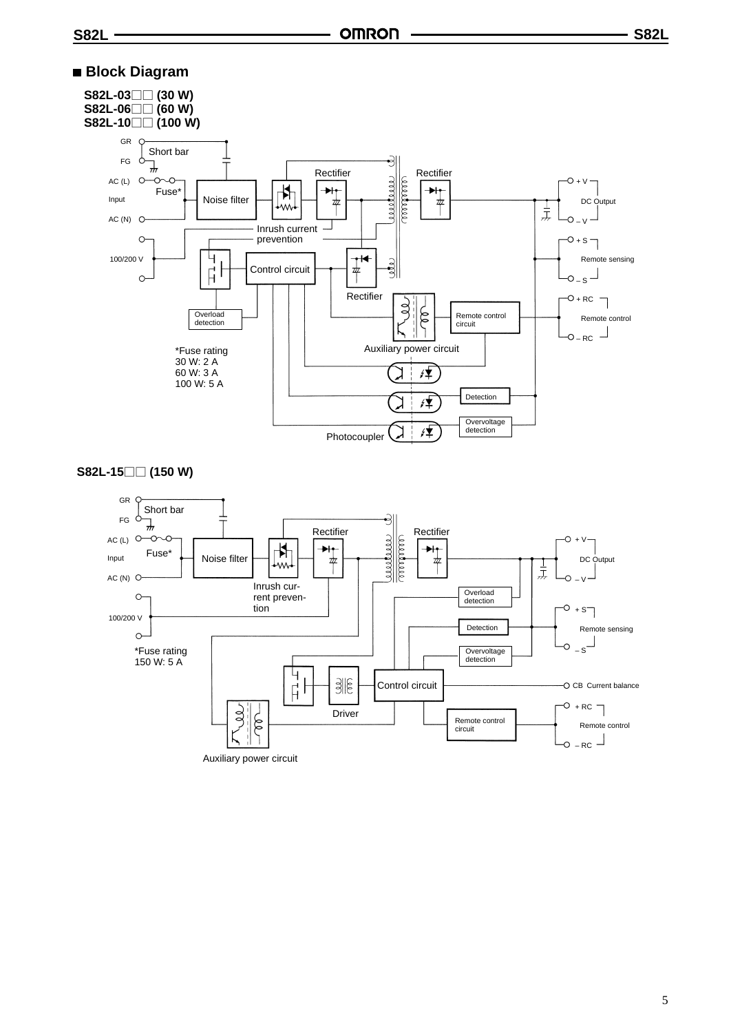#### **Block Diagram**





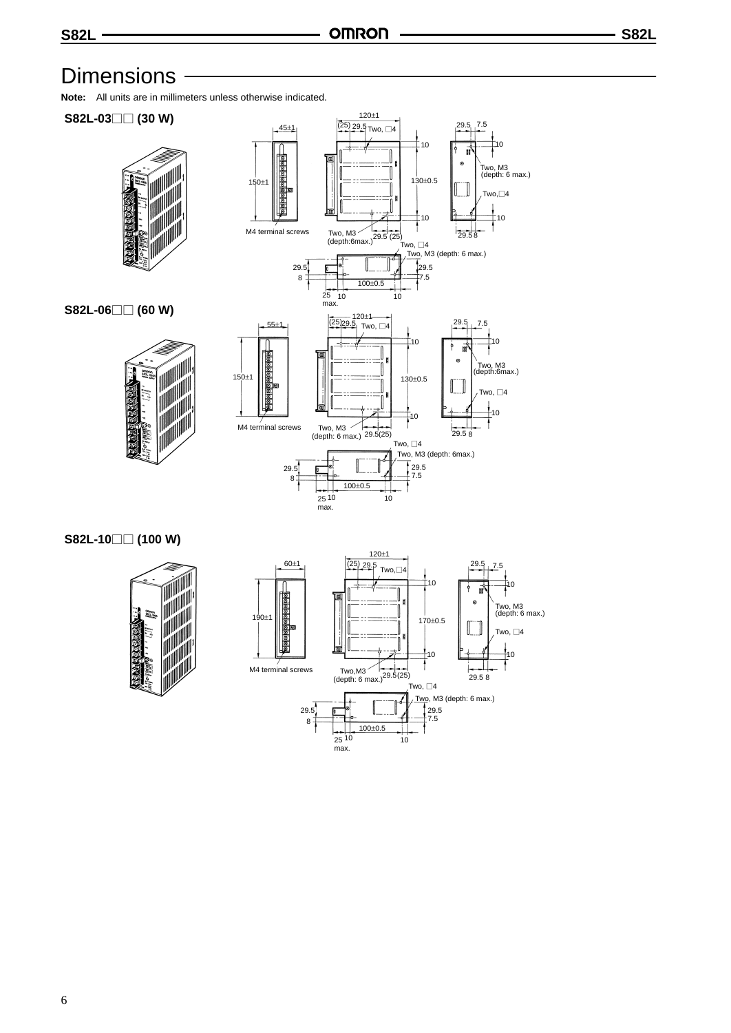### **Dimensions**

**Note:** All units are in millimeters unless otherwise indicated.



#### **S82L-10 (100 W)**



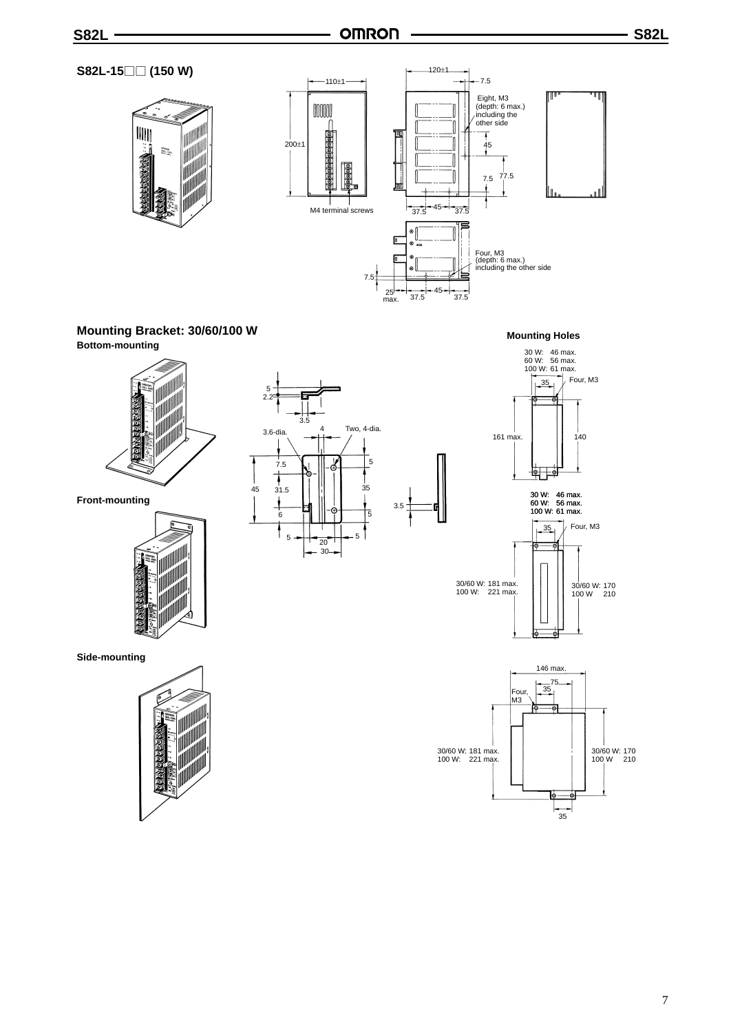#### **S82L-15 (150 W)**





#### **Mounting Bracket: 30/60/100 W Bottom-mounting**



**Front-mounting**





**Mounting Holes**





**Side-mounting**

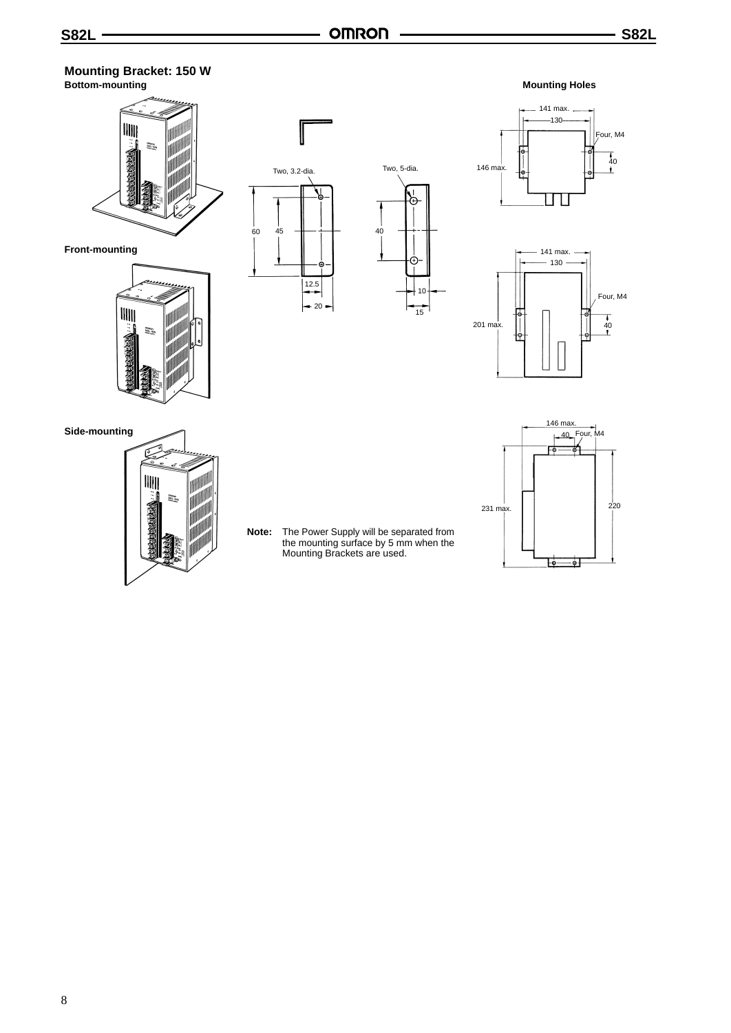#### **Mounting Bracket: 150 W Bottom-mounting**



**Front-mounting**









**Mounting Holes**

**Side-mounting**



**Note:** The Power Supply will be separated from the mounting surface by 5 mm when the Mounting Brackets are used.

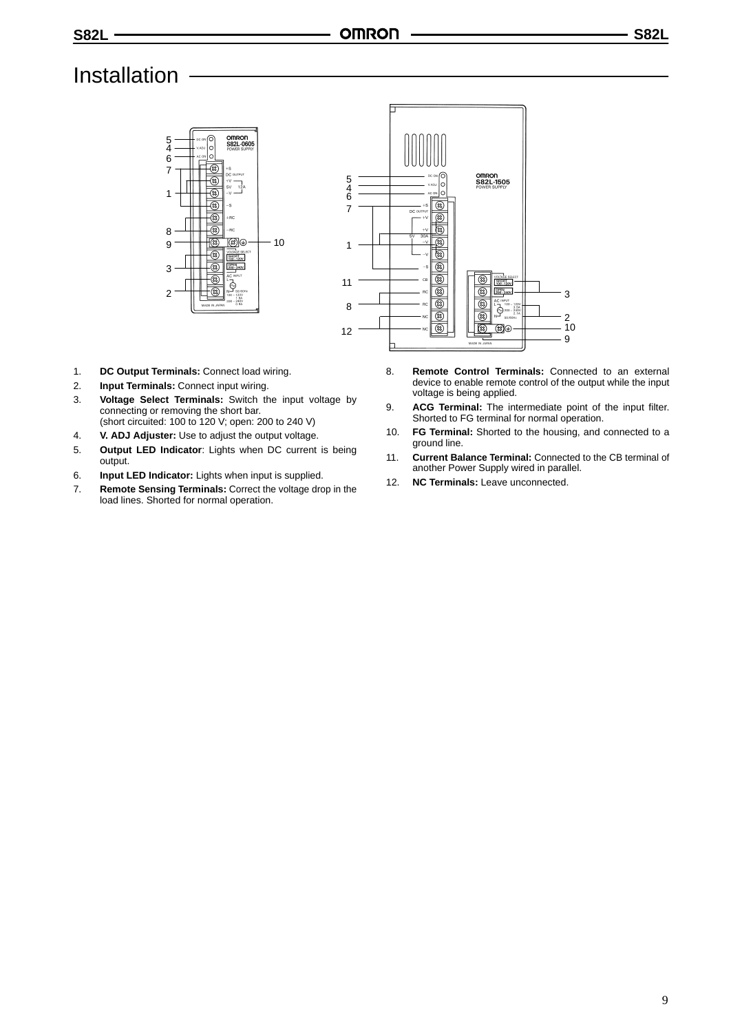## Installation





- 1. **DC Output Terminals:** Connect load wiring.
- 2. **Input Terminals:** Connect input wiring.
- 3. **Voltage Select Terminals:** Switch the input voltage by connecting or removing the short bar. (short circuited: 100 to 120 V; open: 200 to 240 V)
- 4. **V. ADJ Adjuster:** Use to adjust the output voltage.
- 5. **Output LED Indicator**: Lights when DC current is being output.
- 6. **Input LED Indicator:** Lights when input is supplied.
- 7. **Remote Sensing Terminals:** Correct the voltage drop in the load lines. Shorted for normal operation.
- 8. **Remote Control Terminals:** Connected to an external device to enable remote control of the output while the input voltage is being applied.
- 9. **ACG Terminal:** The intermediate point of the input filter. Shorted to FG terminal for normal operation.
- 10. **FG Terminal:** Shorted to the housing, and connected to a ground line.
- 11. **Current Balance Terminal:** Connected to the CB terminal of another Power Supply wired in parallel.
- 12. **NC Terminals:** Leave unconnected.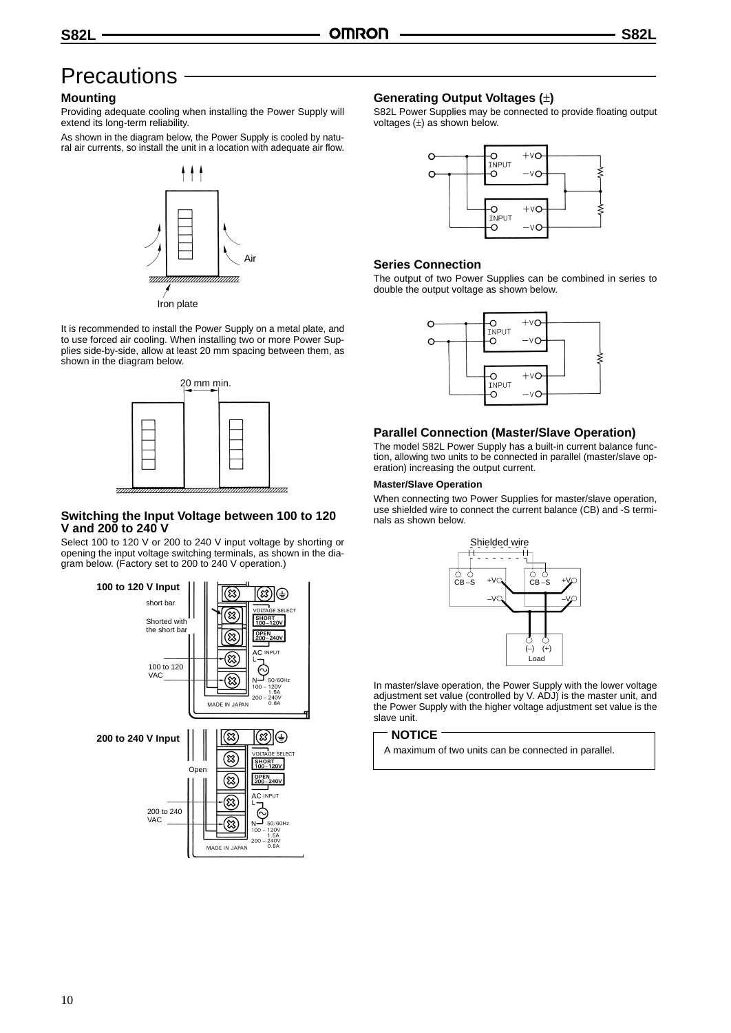### **Precautions**

#### **Mounting**

Providing adequate cooling when installing the Power Supply will extend its long-term reliability.

As shown in the diagram below, the Power Supply is cooled by natural air currents, so install the unit in a location with adequate air flow.



It is recommended to install the Power Supply on a metal plate, and to use forced air cooling. When installing two or more Power Supplies side-by-side, allow at least 20 mm spacing between them, as shown in the diagram below.



#### **Switching the Input Voltage between 100 to 120 V and 200 to 240 V**

Select 100 to 120 V or 200 to 240 V input voltage by shorting or opening the input voltage switching terminals, as shown in the diagram below. (Factory set to 200 to 240 V operation.)



#### **Generating Output Voltages (**±**)**

S82L Power Supplies may be connected to provide floating output voltages  $(\pm)$  as shown below.



#### **Series Connection**

The output of two Power Supplies can be combined in series to double the output voltage as shown below.



#### **Parallel Connection (Master/Slave Operation)**

The model S82L Power Supply has a built-in current balance function, allowing two units to be connected in parallel (master/slave operation) increasing the output current.

#### **Master/Slave Operation**

When connecting two Power Supplies for master/slave operation, use shielded wire to connect the current balance (CB) and -S terminals as shown below.



In master/slave operation, the Power Supply with the lower voltage adjustment set value (controlled by V. ADJ) is the master unit, and the Power Supply with the higher voltage adjustment set value is the slave unit.

#### **NOTICE**

A maximum of two units can be connected in parallel.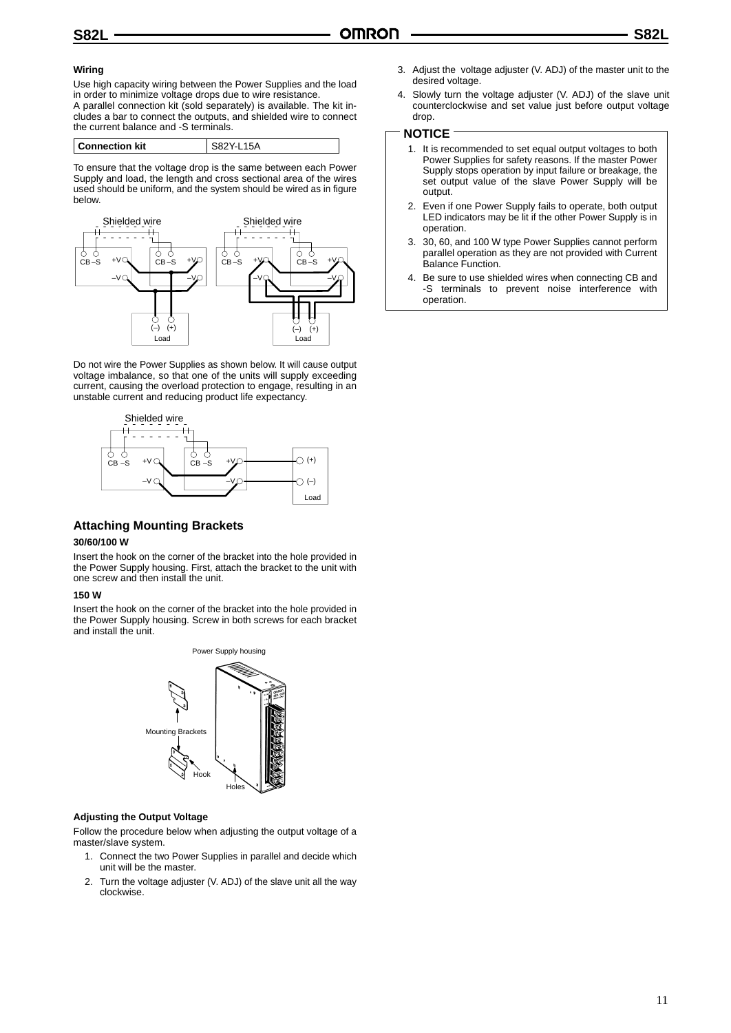#### **Wiring**

Use high capacity wiring between the Power Supplies and the load in order to minimize voltage drops due to wire resistance.

A parallel connection kit (sold separately) is available. The kit includes a bar to connect the outputs, and shielded wire to connect the current balance and -S terminals.

| <b>Connection kit</b> | $15\Delta$ |
|-----------------------|------------|
|                       |            |

To ensure that the voltage drop is the same between each Power Supply and load, the length and cross sectional area of the wires used should be uniform, and the system should be wired as in figure below.



Do not wire the Power Supplies as shown below. It will cause output voltage imbalance, so that one of the units will supply exceeding current, causing the overload protection to engage, resulting in an unstable current and reducing product life expectancy.



#### **Attaching Mounting Brackets**

#### **30/60/100 W**

Insert the hook on the corner of the bracket into the hole provided in the Power Supply housing. First, attach the bracket to the unit with one screw and then install the unit.

#### **150 W**

Insert the hook on the corner of the bracket into the hole provided in the Power Supply housing. Screw in both screws for each bracket and install the unit.



#### **Adjusting the Output Voltage**

Follow the procedure below when adjusting the output voltage of a master/slave system.

- 1. Connect the two Power Supplies in parallel and decide which unit will be the master.
- 2. Turn the voltage adjuster (V. ADJ) of the slave unit all the way clockwise.
- 3. Adjust the voltage adjuster (V. ADJ) of the master unit to the desired voltage.
- 4. Slowly turn the voltage adjuster (V. ADJ) of the slave unit counterclockwise and set value just before output voltage drop.

#### **NOTICE**

- 1. It is recommended to set equal output voltages to both Power Supplies for safety reasons. If the master Power Supply stops operation by input failure or breakage, the set output value of the slave Power Supply will be output.
- 2. Even if one Power Supply fails to operate, both output LED indicators may be lit if the other Power Supply is in operation.
- 3. 30, 60, and 100 W type Power Supplies cannot perform parallel operation as they are not provided with Current Balance Function.
- 4. Be sure to use shielded wires when connecting CB and -S terminals to prevent noise interference with operation.